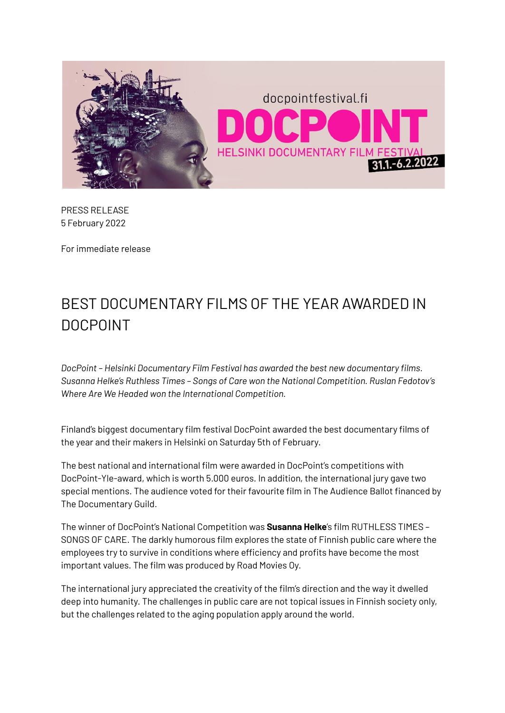

PRESS RELEASE 5 February 2022

For immediate release

# BEST DOCUMENTARY FILMS OF THE YEAR AWARDED IN DOCPOINT

*DocPoint – Helsinki Documentary Film Festival has awarded the best new documentary films. Susanna Helke's Ruthless Times – Songs of Care won the National Competition. Ruslan Fedotov's Where Are We Headed won the International Competition.*

Finland's biggest documentary film festival DocPoint awarded the best documentary films of the year and their makers in Helsinki on Saturday 5th of February.

The best national and international film were awarded in DocPoint's competitions with DocPoint-Yle-award, which is worth 5.000 euros. In addition, the international jury gave two special mentions. The audience voted for their favourite film in The Audience Ballot financed by The Documentary Guild.

The winner of DocPoint's National Competition was **Susanna Helke**'s film RUTHLESS TIMES – SONGS OF CARE. The darkly humorous film explores the state of Finnish public care where the employees try to survive in conditions where efficiency and profits have become the most important values. The film was produced by Road Movies Oy.

The international jury appreciated the creativity of the film's direction and the way it dwelled deep into humanity. The challenges in public care are not topical issues in Finnish society only, but the challenges related to the aging population apply around the world.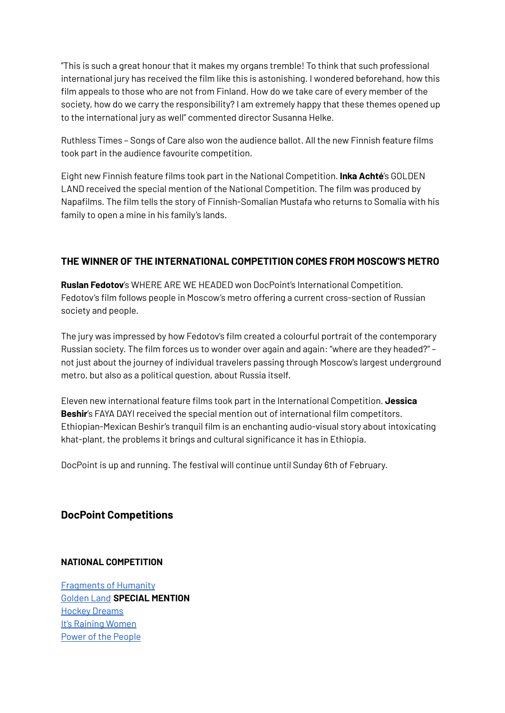"This is such a great honour that it makes my organs tremble! To think that such professional international jury has received the film like this is astonishing. I wondered beforehand, how this film appeals to those who are not from Finland. How do we take care of every member of the society, how do we carry the responsibility? I am extremely happy that these themes opened up to the international jury as well" commented director Susanna Helke.

Ruthless Times – Songs of Care also won the audience ballot. All the new Finnish feature films took part in the audience favourite competition.

Eight new Finnish feature films took part in the National Competition. **Inka Achté**'s GOLDEN LAND received the special mention of the National Competition. The film was produced by Napafilms. The film tells the story of Finnish-Somalian Mustafa who returns to Somalia with his family to open a mine in his family's lands.

# **THE WINNER OF THE INTERNATIONAL COMPETITION COMES FROM MOSCOW'S METRO**

**Ruslan Fedotov**'s WHERE ARE WE HEADED won DocPoint's International Competition. Fedotov's film follows people in Moscow's metro offering a current cross-section of Russian society and people.

The jury was impressed by how Fedotov's film created a colourful portrait of the contemporary Russian society. The film forces us to wonder over again and again: "where are they headed?" – not just about the journey of individual travelers passing through Moscow's largest underground metro, but also as a political question, about Russia itself.

Eleven new international feature films took part in the International Competition. **Jessica Beshir**'s FAYA DAYI received the special mention out of international film competitors. Ethiopian-Mexican Beshir's tranquil film is an enchanting audio-visual story about intoxicating khat-plant, the problems it brings and cultural significance it has in Ethiopia.

DocPoint is up and running. The festival will continue until Sunday 6th of February.

## **DocPoint Competitions**

## **NATIONAL COMPETITION**

[Fragments](https://docpointfestival.fi/en/event-en/fragments-of-humanity/) of Humanity [Golden](https://docpointfestival.fi/en/event-en/golden-land/) Land **SPECIAL MENTION** Hockey [Dreams](https://docpointfestival.fi/en/event-en/hockey-dreams/) It's Raining [Women](https://docpointfestival.fi/en/event-en/its-raining-women/) Power of the [People](https://docpointfestival.fi/en/event-en/power-of-the-people/)